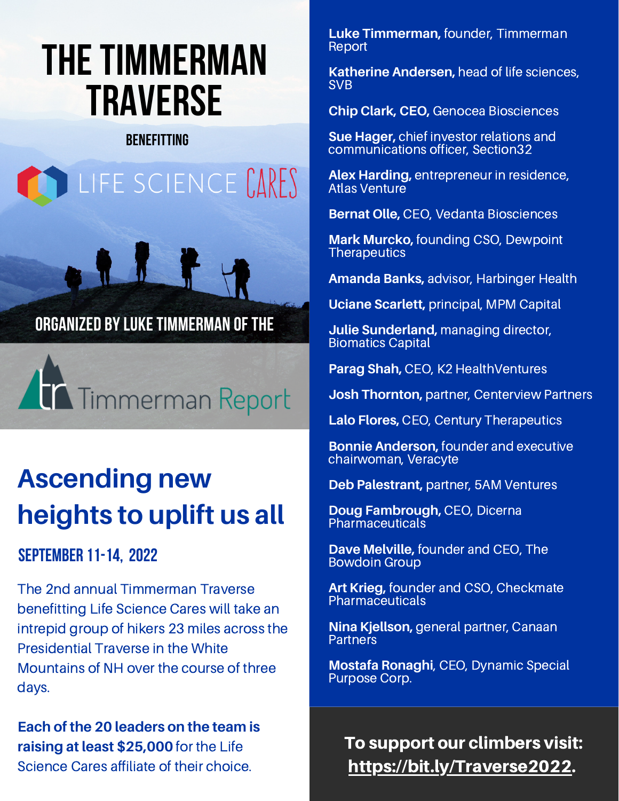# **THE TIMMERMAN TRAVERSE**

### **BENEFITTING**





## **Ascending new heights to uplift us all**

### **SEPTEMBER 11-14, 2022**

The 2nd annual Timmerman Traverse benefitting Life Science Cares will take an intrepid group of hikers 23 miles across the Presidential Traverse in the White Mountains of NH over the course of three days.

**Each of the 20 leaders on the team is raising at least \$25,000** for the Life Science Cares affiliate of their choice.

**Luke Timmerman,** founder, Timmerman **Report** 

**Katherine Andersen,** head of life sciences, SVB

**Chip Clark, CEO,** Genocea Biosciences

**Sue Hager,** chief investor relations and communications officer, Section32

**Alex Harding,** entrepreneur in residence, Atlas Venture

**Bernat Olle,** CEO, Vedanta Biosciences

**Mark Murcko,** founding CSO, Dewpoint **Therapeutics** 

**Amanda Banks,** advisor, Harbinger Health

**Uciane Scarlett,** principal, MPM Capital

**Julie Sunderland,** managing director, Biomatics Capital

**Parag Shah,** CEO, K2 HealthVentures

**Josh Thornton,** partner, Centerview Partners

**Lalo Flores,** CEO, Century Therapeutics

**Bonnie Anderson,** founder and executive chairwoman, Veracyte

**Deb Palestrant,** partner, 5AM Ventures

**Doug Fambrough,** CEO, Dicerna **Pharmaceuticals** 

**Dave Melville,** founder and CEO, The Bowdoin Group

**Art Krieg,** founder and CSO, Checkmate Pharmaceuticals

**Nina Kjellson,** general partner, Canaan **Partners** 

**Mostafa Ronaghi**, CEO, Dynamic Special Purpose Corp.

To support our climbers visit: [https://bit.ly/Traverse2022.](https://bit.ly/Traverse2022)